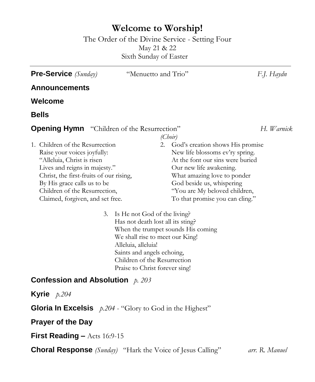## **Welcome to Worship!**

The Order of the Divine Service - Setting Four May 21 & 22 Sixth Sunday of Easter

**Pre-Service** *(Sunday)* "Menuetto and Trio" *F.J. Haydn* **Announcements Welcome Bells Opening Hymn** "Children of the Resurrection" *H. Warnick* 1. Children of the Resurrection Raise your voices joyfully: "Alleluia, Christ is risen Lives and reigns in majesty." Christ, the first-fruits of our rising, By His grace calls us to be Children of the Resurrection, Claimed, forgiven, and set free. *(Choir)* 2. God's creation shows His promise New life blossoms ev'ry spring. At the font our sins were buried Our new life awakening. What amazing love to ponder God beside us, whispering "You are My beloved children, To that promise you can cling." 3. Is He not God of the living? Has not death lost all its sting? When the trumpet sounds His coming We shall rise to meet our King! Alleluia, alleluia! Saints and angels echoing, Children of the Resurrection

Praise to Christ forever sing!

## **Confession and Absolution** *p. 203*

**Kyrie** *p.204*

**Gloria In Excelsis** *p.204* - "Glory to God in the Highest"

**Prayer of the Day**

**First Reading –** Acts 16:9-15

**Choral Response** *(Sunday)* "Hark the Voice of Jesus Calling" *arr. R. Manuel*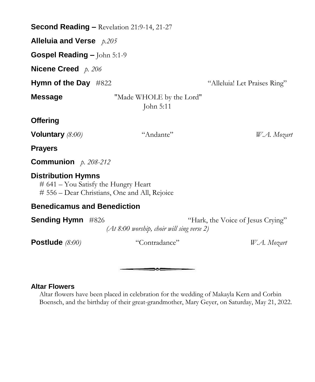| <b>Second Reading – Revelation 21:9-14, 21-27</b>                                                                    |                                              |                                   |
|----------------------------------------------------------------------------------------------------------------------|----------------------------------------------|-----------------------------------|
| Alleluia and Verse $p.205$                                                                                           |                                              |                                   |
| Gospel Reading - John 5:1-9                                                                                          |                                              |                                   |
| Nicene Creed $p. 206$                                                                                                |                                              |                                   |
| Hymn of the Day $#822$                                                                                               |                                              | "Alleluia! Let Praises Ring"      |
| <b>Message</b>                                                                                                       | "Made WHOLE by the Lord"<br>John 5:11        |                                   |
| <b>Offering</b>                                                                                                      |                                              |                                   |
| Voluntary $(8:00)$                                                                                                   | "Andante"                                    | W.A. Mozart                       |
| <b>Prayers</b>                                                                                                       |                                              |                                   |
| <b>Communion</b> $p. 208-212$                                                                                        |                                              |                                   |
| <b>Distribution Hymns</b><br>$# 641 - You$ Satisfy the Hungry Heart<br># 556 - Dear Christians, One and All, Rejoice |                                              |                                   |
| <b>Benedicamus and Benediction</b>                                                                                   |                                              |                                   |
| <b>Sending Hymn</b> #826                                                                                             | $(At 8.00$ worship, choir will sing verse 2) | "Hark, the Voice of Jesus Crying" |
| Postlude $(8:00)$                                                                                                    | "Contradance"                                | W.A. Mozart                       |

## **Altar Flowers**

Altar flowers have been placed in celebration for the wedding of Makayla Kern and Corbin Boensch, and the birthday of their great-grandmother, Mary Geyer, on Saturday, May 21, 2022.

 $\overline{\phantom{a}}$